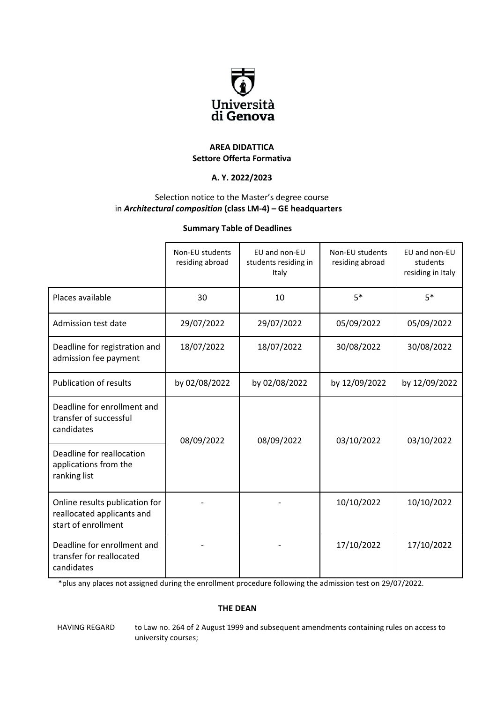

#### **AREA DIDATTICA Settore Offerta Formativa**

## **A. Y. 2022/2023**

### Selection notice to the Master's degree course in *Architectural composition* **(class LM-4) – GE headquarters**

#### **Summary Table of Deadlines**

|                                                                                     | Non-EU students<br>residing abroad | EU and non-EU<br>students residing in<br>Italy | Non-EU students<br>residing abroad | EU and non-EU<br>students<br>residing in Italy |
|-------------------------------------------------------------------------------------|------------------------------------|------------------------------------------------|------------------------------------|------------------------------------------------|
| Places available                                                                    | 30                                 | 10                                             | $5*$                               | $5*$                                           |
| Admission test date                                                                 | 29/07/2022                         | 29/07/2022                                     | 05/09/2022                         | 05/09/2022                                     |
| Deadline for registration and<br>admission fee payment                              | 18/07/2022                         | 18/07/2022                                     | 30/08/2022                         | 30/08/2022                                     |
| <b>Publication of results</b>                                                       | by 02/08/2022                      | by 02/08/2022                                  | by 12/09/2022                      | by 12/09/2022                                  |
| Deadline for enrollment and<br>transfer of successful<br>candidates                 | 08/09/2022                         | 08/09/2022                                     | 03/10/2022                         | 03/10/2022                                     |
| Deadline for reallocation<br>applications from the<br>ranking list                  |                                    |                                                |                                    |                                                |
| Online results publication for<br>reallocated applicants and<br>start of enrollment |                                    |                                                | 10/10/2022                         | 10/10/2022                                     |
| Deadline for enrollment and<br>transfer for reallocated<br>candidates               |                                    |                                                | 17/10/2022                         | 17/10/2022                                     |

\*plus any places not assigned during the enrollment procedure following the admission test on 29/07/2022.

#### **THE DEAN**

HAVING REGARD to Law no. 264 of 2 August 1999 and subsequent amendments containing rules on access to university courses;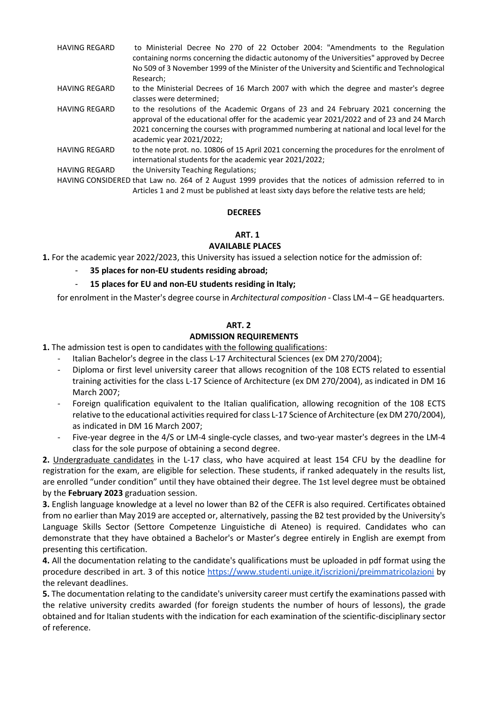- HAVING REGARD to Ministerial Decree No 270 of 22 October 2004: "Amendments to the Regulation containing norms concerning the didactic autonomy of the Universities" approved by Decree No 509 of 3 November 1999 of the Minister of the University and Scientific and Technological Research;
- HAVING REGARD to the Ministerial Decrees of 16 March 2007 with which the degree and master's degree classes were determined;
- HAVING REGARD to the resolutions of the Academic Organs of 23 and 24 February 2021 concerning the approval of the educational offer for the academic year 2021/2022 and of 23 and 24 March 2021 concerning the courses with programmed numbering at national and local level for the academic year 2021/2022;
- HAVING REGARD to the note prot. no. 10806 of 15 April 2021 concerning the procedures for the enrolment of international students for the academic year 2021/2022;
- HAVING REGARD the University Teaching Regulations;

HAVING CONSIDERED that Law no. 264 of 2 August 1999 provides that the notices of admission referred to in Articles 1 and 2 must be published at least sixty days before the relative tests are held;

#### **DECREES**

## **ART. 1**

#### **AVAILABLE PLACES**

**1.** For the academic year 2022/2023, this University has issued a selection notice for the admission of:

- **35 places for non-EU students residing abroad;**
- **15 places for EU and non-EU students residing in Italy;**

for enrolment in the Master's degree course in *Architectural composition* - Class LM-4 – GE headquarters.

#### **ART. 2**

#### **ADMISSION REQUIREMENTS**

- **1.** The admission test is open to candidates with the following qualifications:
	- Italian Bachelor's degree in the class L-17 Architectural Sciences (ex DM 270/2004);
	- Diploma or first level university career that allows recognition of the 108 ECTS related to essential training activities for the class L-17 Science of Architecture (ex DM 270/2004), as indicated in DM 16 March 2007;
	- Foreign qualification equivalent to the Italian qualification, allowing recognition of the 108 ECTS relative to the educational activities required for class L-17 Science of Architecture (ex DM 270/2004), as indicated in DM 16 March 2007;
	- Five-year degree in the 4/S or LM-4 single-cycle classes, and two-year master's degrees in the LM-4 class for the sole purpose of obtaining a second degree.

**2.** Undergraduate candidates in the L-17 class, who have acquired at least 154 CFU by the deadline for registration for the exam, are eligible for selection. These students, if ranked adequately in the results list, are enrolled "under condition" until they have obtained their degree. The 1st level degree must be obtained by the **February 2023** graduation session.

**3.** English language knowledge at a level no lower than B2 of the CEFR is also required. Certificates obtained from no earlier than May 2019 are accepted or, alternatively, passing the B2 test provided by the University's Language Skills Sector (Settore Competenze Linguistiche di Ateneo) is required. Candidates who can demonstrate that they have obtained a Bachelor's or Master's degree entirely in English are exempt from presenting this certification.

**4.** All the documentation relating to the candidate's qualifications must be uploaded in pdf format using the procedure described in art. 3 of this notice [https://www.studenti.unige.it/iscrizioni/preimmatricolazioni](https://www.studenti.unige.it/iscrizioni/preimmatricolazioni/) by the relevant deadlines.

**5.** The documentation relating to the candidate's university career must certify the examinations passed with the relative university credits awarded (for foreign students the number of hours of lessons), the grade obtained and for Italian students with the indication for each examination of the scientific-disciplinary sector of reference.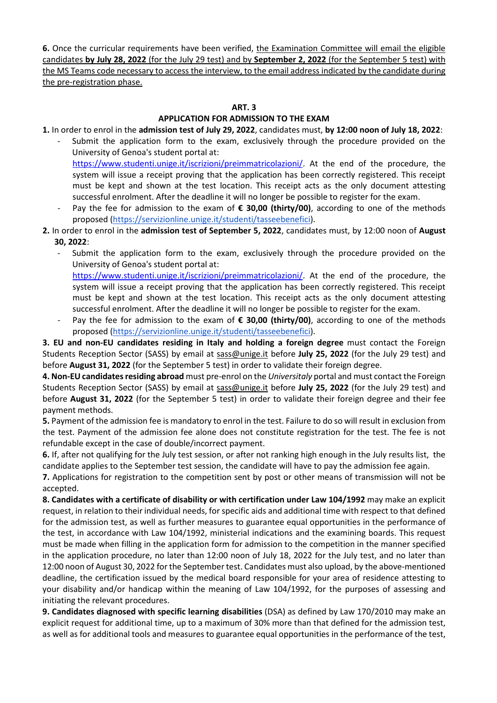**6.** Once the curricular requirements have been verified, the Examination Committee will email the eligible candidates **by July 28, 2022** (for the July 29 test) and by **September 2, 2022** (for the September 5 test) with the MS Teams code necessary to access the interview, to the email address indicated by the candidate during the pre-registration phase.

### **ART. 3**

# **APPLICATION FOR ADMISSION TO THE EXAM**

**1.** In order to enrol in the **admission test of July 29, 2022**, candidates must, **by 12:00 noon of July 18, 2022**:

- Submit the application form to the exam, exclusively through the procedure provided on the University of Genoa's student portal at: [https://www.studenti.unige.it/iscrizioni/preimmatricolazioni/.](https://www.studenti.unige.it/iscrizioni/preimmatricolazioni/) At the end of the procedure, the system will issue a receipt proving that the application has been correctly registered. This receipt must be kept and shown at the test location. This receipt acts as the only document attesting successful enrolment. After the deadline it will no longer be possible to register for the exam.
- Pay the fee for admission to the exam of € 30,00 (thirty/00), according to one of the methods proposed [\(https://servizionline.unige.it/studenti/tasseebenefici\)](https://servizionline.unige.it/studenti/tasseebenefici).
- **2.** In order to enrol in the **admission test of September 5, 2022**, candidates must, by 12:00 noon of **August 30, 2022**:
	- Submit the application form to the exam, exclusively through the procedure provided on the University of Genoa's student portal at: [https://www.studenti.unige.it/iscrizioni/preimmatricolazioni/.](https://www.studenti.unige.it/iscrizioni/preimmatricolazioni/) At the end of the procedure, the
	- system will issue a receipt proving that the application has been correctly registered. This receipt must be kept and shown at the test location. This receipt acts as the only document attesting successful enrolment. After the deadline it will no longer be possible to register for the exam.
	- Pay the fee for admission to the exam of € 30,00 (thirty/00), according to one of the methods proposed [\(https://servizionline.unige.it/studenti/tasseebenefici\)](https://servizionline.unige.it/studenti/tasseebenefici).

**3. EU and non-EU candidates residing in Italy and holding a foreign degree** must contact the Foreign Students Reception Sector (SASS) by email at [sass@unige.it](mailto:sass@unige.it) before **July 25, 2022** (for the July 29 test) and before **August 31, 2022** (for the September 5 test) in order to validate their foreign degree.

**4. Non-EU candidates residing abroad** must pre-enrol on the *Universitaly* portal and must contact the Foreign Students Reception Sector (SASS) by email at [sass@unige.it](mailto:sass@unige.it) before **July 25, 2022** (for the July 29 test) and before **August 31, 2022** (for the September 5 test) in order to validate their foreign degree and their fee payment methods.

**5.** Payment of the admission fee is mandatory to enrol in the test. Failure to do so will result in exclusion from the test. Payment of the admission fee alone does not constitute registration for the test. The fee is not refundable except in the case of double/incorrect payment.

**6.** If, after not qualifying for the July test session, or after not ranking high enough in the July results list, the candidate applies to the September test session, the candidate will have to pay the admission fee again.

**7.** Applications for registration to the competition sent by post or other means of transmission will not be accepted.

**8. Candidates with a certificate of disability or with certification under Law 104/1992** may make an explicit request, in relation to their individual needs, for specific aids and additional time with respect to that defined for the admission test, as well as further measures to guarantee equal opportunities in the performance of the test, in accordance with Law 104/1992, ministerial indications and the examining boards. This request must be made when filling in the application form for admission to the competition in the manner specified in the application procedure, no later than 12:00 noon of July 18, 2022 for the July test, and no later than 12:00 noon of August 30, 2022 for the September test. Candidates must also upload, by the above-mentioned deadline, the certification issued by the medical board responsible for your area of residence attesting to your disability and/or handicap within the meaning of Law 104/1992, for the purposes of assessing and initiating the relevant procedures.

**9. Candidates diagnosed with specific learning disabilities** (DSA) as defined by Law 170/2010 may make an explicit request for additional time, up to a maximum of 30% more than that defined for the admission test, as well as for additional tools and measures to guarantee equal opportunities in the performance of the test,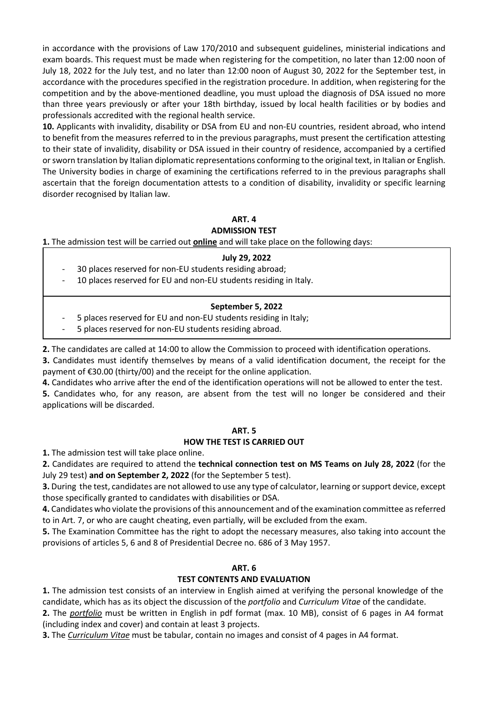in accordance with the provisions of Law 170/2010 and subsequent guidelines, ministerial indications and exam boards. This request must be made when registering for the competition, no later than 12:00 noon of July 18, 2022 for the July test, and no later than 12:00 noon of August 30, 2022 for the September test, in accordance with the procedures specified in the registration procedure. In addition, when registering for the competition and by the above-mentioned deadline, you must upload the diagnosis of DSA issued no more than three years previously or after your 18th birthday, issued by local health facilities or by bodies and professionals accredited with the regional health service.

**10.** Applicants with invalidity, disability or DSA from EU and non-EU countries, resident abroad, who intend to benefit from the measures referred to in the previous paragraphs, must present the certification attesting to their state of invalidity, disability or DSA issued in their country of residence, accompanied by a certified or sworn translation by Italian diplomatic representations conforming to the original text, in Italian or English. The University bodies in charge of examining the certifications referred to in the previous paragraphs shall ascertain that the foreign documentation attests to a condition of disability, invalidity or specific learning disorder recognised by Italian law.

### **ART. 4 ADMISSION TEST**

**1.** The admission test will be carried out **online** and will take place on the following days:

## **July 29, 2022**

- 30 places reserved for non-EU students residing abroad;
- 10 places reserved for EU and non-EU students residing in Italy.

## **September 5, 2022**

- 5 places reserved for EU and non-EU students residing in Italy;
- 5 places reserved for non-EU students residing abroad.
- **2.** The candidates are called at 14:00 to allow the Commission to proceed with identification operations.

**3.** Candidates must identify themselves by means of a valid identification document, the receipt for the payment of €30.00 (thirty/00) and the receipt for the online application.

**4.** Candidates who arrive after the end of the identification operations will not be allowed to enter the test.

**5.** Candidates who, for any reason, are absent from the test will no longer be considered and their applications will be discarded.

#### **ART. 5 HOW THE TEST IS CARRIED OUT**

**1.** The admission test will take place online.

**2.** Candidates are required to attend the **technical connection test on MS Teams on July 28, 2022** (for the July 29 test) **and on September 2, 2022** (for the September 5 test).

**3.** During the test, candidates are not allowed to use any type of calculator, learning or support device, except those specifically granted to candidates with disabilities or DSA.

**4.** Candidates who violate the provisions of this announcement and of the examination committee as referred to in Art. 7, or who are caught cheating, even partially, will be excluded from the exam.

**5.** The Examination Committee has the right to adopt the necessary measures, also taking into account the provisions of articles 5, 6 and 8 of Presidential Decree no. 686 of 3 May 1957.

## **ART. 6**

## **TEST CONTENTS AND EVALUATION**

**1.** The admission test consists of an interview in English aimed at verifying the personal knowledge of the candidate, which has as its object the discussion of the *portfolio* and *Curriculum Vitae* of the candidate.

**2.** The *portfolio* must be written in English in pdf format (max. 10 MB), consist of 6 pages in A4 format (including index and cover) and contain at least 3 projects.

**3.** The *Curriculum Vitae* must be tabular, contain no images and consist of 4 pages in A4 format.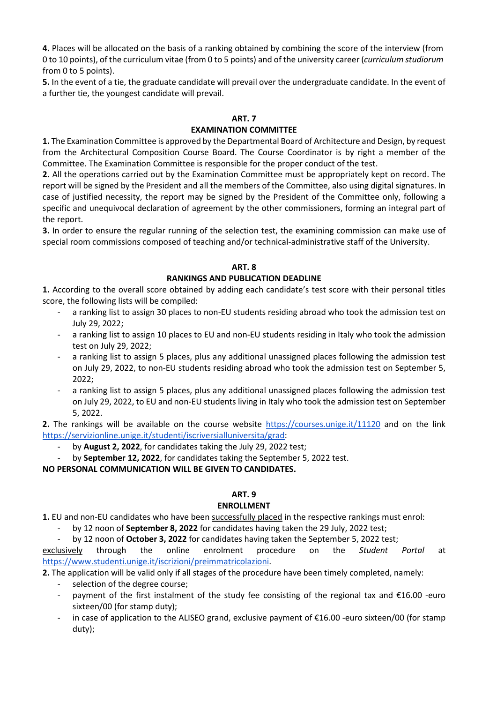**4.** Places will be allocated on the basis of a ranking obtained by combining the score of the interview (from 0 to 10 points), of the curriculum vitae (from 0 to 5 points) and of the university career (*curriculum studiorum* from 0 to 5 points).

**5.** In the event of a tie, the graduate candidate will prevail over the undergraduate candidate. In the event of a further tie, the youngest candidate will prevail.

#### **ART. 7**

### **EXAMINATION COMMITTEE**

**1.** The Examination Committee is approved by the Departmental Board of Architecture and Design, by request from the Architectural Composition Course Board. The Course Coordinator is by right a member of the Committee. The Examination Committee is responsible for the proper conduct of the test.

**2.** All the operations carried out by the Examination Committee must be appropriately kept on record. The report will be signed by the President and all the members of the Committee, also using digital signatures. In case of justified necessity, the report may be signed by the President of the Committee only, following a specific and unequivocal declaration of agreement by the other commissioners, forming an integral part of the report.

**3.** In order to ensure the regular running of the selection test, the examining commission can make use of special room commissions composed of teaching and/or technical-administrative staff of the University.

#### **ART. 8**

## **RANKINGS AND PUBLICATION DEADLINE**

**1.** According to the overall score obtained by adding each candidate's test score with their personal titles score, the following lists will be compiled:

- a ranking list to assign 30 places to non-EU students residing abroad who took the admission test on July 29, 2022;
- a ranking list to assign 10 places to EU and non-EU students residing in Italy who took the admission test on July 29, 2022;
- a ranking list to assign 5 places, plus any additional unassigned places following the admission test on July 29, 2022, to non-EU students residing abroad who took the admission test on September 5, 2022;
- a ranking list to assign 5 places, plus any additional unassigned places following the admission test on July 29, 2022, to EU and non-EU students living in Italy who took the admission test on September 5, 2022.

**2.** The rankings will be available on the course website <https://courses.unige.it/11120> and on the link [https://servizionline.unige.it/studenti/iscriversialluniversita/grad:](https://servizionline.unige.it/studenti/iscriversialluniversita/grad)

- by **August 2, 2022**, for candidates taking the July 29, 2022 test;
- by **September 12, 2022**, for candidates taking the September 5, 2022 test.

**NO PERSONAL COMMUNICATION WILL BE GIVEN TO CANDIDATES.** 

#### **ART. 9**

## **ENROLLMENT**

**1.** EU and non-EU candidates who have been successfully placed in the respective rankings must enrol:

by 12 noon of **September 8, 2022** for candidates having taken the 29 July, 2022 test;

- by 12 noon of **October 3, 2022** for candidates having taken the September 5, 2022 test;

exclusively through the online enrolment procedure on the *Student Portal* at [https://www.studenti.unige.it/iscrizioni/preimmatricolazioni.](https://www.studenti.unige.it/iscrizioni/preimmatricolazioni/)

**2.** The application will be valid only if all stages of the procedure have been timely completed, namely:

- selection of the degree course;
- payment of the first instalment of the study fee consisting of the regional tax and €16.00 -euro sixteen/00 (for stamp duty);
- in case of application to the ALISEO grand, exclusive payment of  $£16.00$  -euro sixteen/00 (for stamp duty);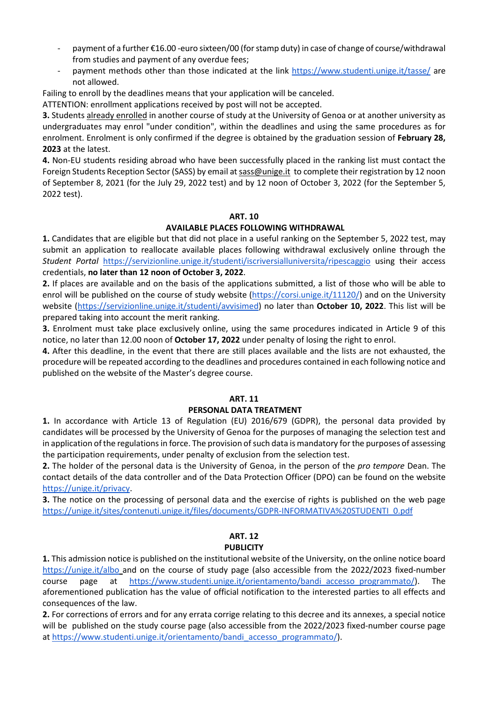- payment of a further €16.00 -euro sixteen/00 (for stamp duty) in case of change of course/withdrawal from studies and payment of any overdue fees;
- payment methods other than those indicated at the link<https://www.studenti.unige.it/tasse/> are not allowed.

Failing to enroll by the deadlines means that your application will be canceled.

ATTENTION: enrollment applications received by post will not be accepted.

**3.** Students already enrolled in another course of study at the University of Genoa or at another university as undergraduates may enrol "under condition", within the deadlines and using the same procedures as for enrolment. Enrolment is only confirmed if the degree is obtained by the graduation session of **February 28, 2023** at the latest.

**4.** Non-EU students residing abroad who have been successfully placed in the ranking list must contact the Foreign Students Reception Sector (SASS) by email a[t sass@unige.it](mailto:sass@unige.it) to complete their registration by 12 noon of September 8, 2021 (for the July 29, 2022 test) and by 12 noon of October 3, 2022 (for the September 5, 2022 test).

## **ART. 10**

## **AVAILABLE PLACES FOLLOWING WITHDRAWAL**

**1.** Candidates that are eligible but that did not place in a useful ranking on the September 5, 2022 test, may submit an application to reallocate available places following withdrawal exclusively online through the *Student Portal* <https://servizionline.unige.it/studenti/iscriversialluniversita/ripescaggio> using their access credentials, **no later than 12 noon of October 3, 2022**.

**2.** If places are available and on the basis of the applications submitted, a list of those who will be able to enrol will be published on the course of study website [\(https://corsi.unige.it/11120/\)](https://corsi.unige.it/11120/news) and on the University website [\(https://servizionline.unige.it/studenti/avvisimed\)](https://servizionline.unige.it/studenti/avvisimed) no later than **October 10, 2022**. This list will be prepared taking into account the merit ranking.

**3.** Enrolment must take place exclusively online, using the same procedures indicated in Article 9 of this notice, no later than 12.00 noon of **October 17, 2022** under penalty of losing the right to enrol.

**4.** After this deadline, in the event that there are still places available and the lists are not exhausted, the procedure will be repeated according to the deadlines and procedures contained in each following notice and published on the website of the Master's degree course.

#### **ART. 11**

## **PERSONAL DATA TREATMENT**

**1.** In accordance with Article 13 of Regulation (EU) 2016/679 (GDPR), the personal data provided by candidates will be processed by the University of Genoa for the purposes of managing the selection test and in application of the regulations in force. The provision of such data is mandatory for the purposes of assessing the participation requirements, under penalty of exclusion from the selection test.

**2.** The holder of the personal data is the University of Genoa, in the person of the *pro tempore* Dean. The contact details of the data controller and of the Data Protection Officer (DPO) can be found on the website [https://unige.it/privacy.](https://unige.it/privacy)

**3.** The notice on the processing of personal data and the exercise of rights is published on the web page [https://unige.it/sites/contenuti.unige.it/files/documents/GDPR-INFORMATIVA%20STUDENTI\\_0.pdf](https://unige.it/sites/contenuti.unige.it/files/documents/GDPR-INFORMATIVA%20STUDENTI_0.pdf)

## **ART. 12 PUBLICITY**

**1.** This admission notice is published on the institutional website of the University, on the online notice board <https://unige.it/albo> and on the course of study page (also accessible from the 2022/2023 fixed-number course page at [https://www.studenti.unige.it/orientamento/bandi\\_accesso\\_programmato/\)](https://www.studenti.unige.it/orientamento/bandi_accesso_programmato/). The aforementioned publication has the value of official notification to the interested parties to all effects and consequences of the law.

**2.** For corrections of errors and for any errata corrige relating to this decree and its annexes, a special notice will be published on the study course page (also accessible from the 2022/2023 fixed-number course page at [https://www.studenti.unige.it/orientamento/bandi\\_accesso\\_programmato/\)](https://www.studenti.unige.it/orientamento/bandi_accesso_programmato/).